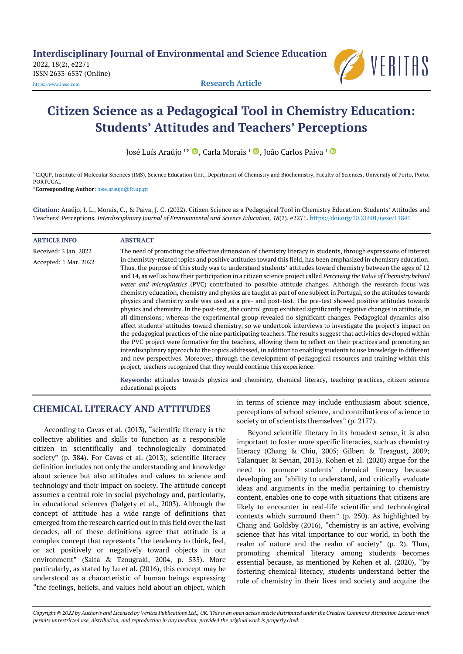2022, 18(2), e2271 ISSN 2633-6537 (Online) [https://www.ijese.com](https://www.ijese.com/) **Research Article**



# **Citizen Science as a Pedagogical Tool in Chemistry Education: Students' Attitudes and Teachers' Perceptions**

José Luís Araújo <sup>1</sup>\* ( Carla Morais <sup>1</sup> ( Caño Carlos Paiva <sup>1</sup>

<sup>1</sup> CIQUP, Institute of Molecular Sciences (IMS), Science Education Unit, Department of Chemistry and Biochemistry, Faculty of Sciences, University of Porto, Porto, PORTUGAL

\***Corresponding Author:** [jose.araujo@fc.up.pt](mailto:jose.araujo@fc.up.pt)

**Citation:** Araújo, J. L., Morais, C., & Paiva, J. C. (2022). Citizen Science as a Pedagogical Tool in Chemistry Education: Students' Attitudes and Teachers' Perceptions. *Interdisciplinary Journal of Environmental and Science Education, 18*(2), e2271. <https://doi.org/10.21601/ijese/11841>

| <b>ARTICLE INFO</b>                            | <b>ABSTRACT</b>                                                                                                                                                                                                                                                                                                                                                                                                                                                                                                                                                                                                                                                                                                                                                                                                                                                                                                                                                                                                  |
|------------------------------------------------|------------------------------------------------------------------------------------------------------------------------------------------------------------------------------------------------------------------------------------------------------------------------------------------------------------------------------------------------------------------------------------------------------------------------------------------------------------------------------------------------------------------------------------------------------------------------------------------------------------------------------------------------------------------------------------------------------------------------------------------------------------------------------------------------------------------------------------------------------------------------------------------------------------------------------------------------------------------------------------------------------------------|
| Received: 3 Jan. 2022<br>Accepted: 1 Mar. 2022 | The need of promoting the affective dimension of chemistry literacy in students, through expressions of interest<br>in chemistry-related topics and positive attitudes toward this field, has been emphasized in chemistry education.<br>Thus, the purpose of this study was to understand students' attitudes toward chemistry between the ages of 12<br>and 14, as well as how their participation in a citizen science project called Perceiving the Value of Chemistry behind<br>water and microplastics (PVC) contributed to possible attitude changes. Although the research focus was<br>chemistry education, chemistry and physics are taught as part of one subject in Portugal, so the attitudes towards<br>physics and chemistry scale was used as a pre- and post-test. The pre-test showed positive attitudes towards                                                                                                                                                                               |
|                                                | physics and chemistry. In the post-test, the control group exhibited significantly negative changes in attitude, in<br>all dimensions; whereas the experimental group revealed no significant changes. Pedagogical dynamics also<br>affect students' attitudes toward chemistry, so we undertook interviews to investigate the project's impact on<br>the pedagogical practices of the nine participating teachers. The results suggest that activities developed within<br>the PVC project were formative for the teachers, allowing them to reflect on their practices and promoting an<br>interdisciplinary approach to the topics addressed, in addition to enabling students to use knowledge in different<br>and new perspectives. Moreover, through the development of pedagogical resources and training within this<br>project, teachers recognized that they would continue this experience.<br>Kaywords: attitudes towards physics and chemistry chemical literary teaching practices citizen science |

**Keywords:** attitudes towards physics and chemistry, chemical literacy, teaching practices, citizen science educational projects

# **CHEMICAL LITERACY AND ATTITUDES**

According to Cavas et al. (2013), "scientific literacy is the collective abilities and skills to function as a responsible citizen in scientifically and technologically dominated society" (p. 384). For Cavas et al. (2013), scientific literacy definition includes not only the understanding and knowledge about science but also attitudes and values to science and technology and their impact on society. The attitude concept assumes a central role in social psychology and, particularly, in educational sciences (Dalgety et al., 2003). Although the concept of attitude has a wide range of definitions that emerged from the research carried out in this field over the last decades, all of these definitions agree that attitude is a complex concept that represents "the tendency to think, feel, or act positively or negatively toward objects in our environment" (Salta & Tzougraki, 2004, p. 535). More particularly, as stated by Lu et al. (2016), this concept may be understood as a characteristic of human beings expressing "the feelings, beliefs, and values held about an object, which

in terms of science may include enthusiasm about science, perceptions of school science, and contributions of science to society or of scientists themselves" (p. 2177).

Beyond scientific literacy in its broadest sense, it is also important to foster more specific literacies, such as chemistry literacy (Chang & Chiu, 2005; Gilbert & Treagust, 2009; Talanquer & Sevian, 2013). Kohen et al. (2020) argue for the need to promote students' chemical literacy because developing an "ability to understand, and critically evaluate ideas and arguments in the media pertaining to chemistry content, enables one to cope with situations that citizens are likely to encounter in real-life scientific and technological contexts which surround them" (p. 250). As highlighted by Chang and Goldsby (2016), "chemistry is an active, evolving science that has vital importance to our world, in both the realm of nature and the realm of society" (p. 2). Thus, promoting chemical literacy among students becomes essential because, as mentioned by Kohen et al. (2020), "by fostering chemical literacy, students understand better the role of chemistry in their lives and society and acquire the

*Copyright © 2022 by Author/s and Licensed by Veritas Publications Ltd., UK. This is an open access article distributed under the Creative Commons Attribution License which permits unrestricted use, distribution, and reproduction in any medium, provided the original work is properly cited.*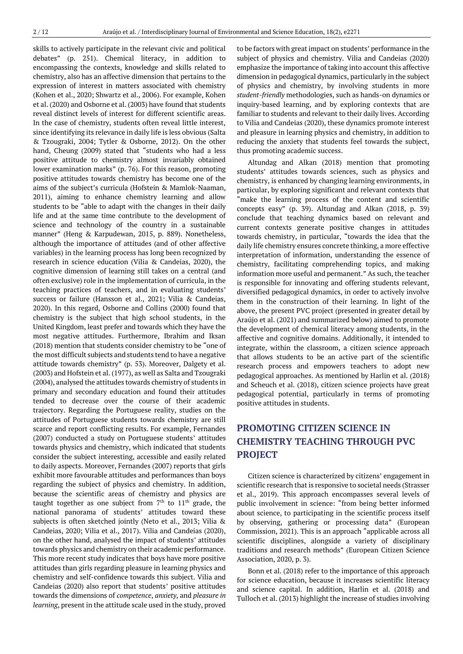skills to actively participate in the relevant civic and political debates" (p. 251). Chemical literacy, in addition to encompassing the contexts, knowledge and skills related to chemistry, also has an affective dimension that pertains to the expression of interest in matters associated with chemistry (Kohen et al., 2020; Shwartz et al., 2006). For example, Kohen et al. (2020) and Osborne et al. (2003) have found that students reveal distinct levels of interest for different scientific areas. In the case of chemistry, students often reveal little interest, since identifying its relevance in daily life is less obvious (Salta & Tzougraki, 2004; Tytler & Osborne, 2012). On the other hand, Cheung (2009) stated that "students who had a less positive attitude to chemistry almost invariably obtained lower examination marks" (p. 76). For this reason, promoting positive attitudes towards chemistry has become one of the aims of the subject's curricula (Hofstein & Mamlok-Naaman, 2011), aiming to enhance chemistry learning and allow students to be "able to adapt with the changes in their daily life and at the same time contribute to the development of science and technology of the country in a sustainable manner" (Heng & Karpudewan, 2015, p. 889). Nonetheless, although the importance of attitudes (and of other affective variables) in the learning process has long been recognized by research in science education (Vilia & Candeias, 2020), the cognitive dimension of learning still takes on a central (and often exclusive) role in the implementation of curricula, in the teaching practices of teachers, and in evaluating students' success or failure (Hansson et al., 2021; Vilia & Candeias, 2020). In this regard, Osborne and Collins (2000) found that chemistry is the subject that high school students, in the United Kingdom, least prefer and towards which they have the most negative attitudes. Furthermore, Ibrahim and Iksan (2018) mention that students consider chemistry to be "one of the most difficult subjects and students tend to have a negative attitude towards chemistry" (p. 53). Moreover, Dalgety et al. (2003) and Hofstein et al. (1977), as well as Salta and Tzougraki (2004), analysed the attitudes towards chemistry of students in primary and secondary education and found their attitudes tended to decrease over the course of their academic trajectory. Regarding the Portuguese reality, studies on the attitudes of Portuguese students towards chemistry are still scarce and report conflicting results. For example, Fernandes (2007) conducted a study on Portuguese students' attitudes towards physics and chemistry, which indicated that students consider the subject interesting, accessible and easily related to daily aspects. Moreover, Fernandes (2007) reports that girls exhibit more favourable attitudes and performances than boys regarding the subject of physics and chemistry. In addition, because the scientific areas of chemistry and physics are taught together as one subject from  $7<sup>th</sup>$  to  $11<sup>th</sup>$  grade, the national panorama of students' attitudes toward these subjects is often sketched jointly (Neto et al., 2013; Vilia & Candeias, 2020; Vilia et al., 2017). Vilia and Candeias (2020), on the other hand, analysed the impact of students' attitudes towards physics and chemistry on their academic performance. This more recent study indicates that boys have more positive attitudes than girls regarding pleasure in learning physics and chemistry and self-confidence towards this subject. Vilia and Candeias (2020) also report that students' positive attitudes towards the dimensions of *competence*, *anxiety*, and *pleasure in learning*, present in the attitude scale used in the study, proved

to be factors with great impact on students' performance in the subject of physics and chemistry. Vilia and Candeias (2020) emphasize the importance of taking into account this affective dimension in pedagogical dynamics, particularly in the subject of physics and chemistry, by involving students in more *student-friendly* methodologies, such as hands-on dynamics or inquiry-based learning, and by exploring contexts that are familiar to students and relevant to their daily lives. According to Vilia and Candeias (2020), these dynamics promote interest and pleasure in learning physics and chemistry, in addition to reducing the anxiety that students feel towards the subject, thus promoting academic success.

Altundag and Alkan (2018) mention that promoting students' attitudes towards sciences, such as physics and chemistry, is enhanced by changing learning environments, in particular, by exploring significant and relevant contexts that "make the learning process of the content and scientific concepts easy" (p. 39). Altundag and Alkan (2018, p. 39) conclude that teaching dynamics based on relevant and current contexts generate positive changes in attitudes towards chemistry, in particular, "towards the idea that the daily life chemistry ensures concrete thinking, a more effective interpretation of information, understanding the essence of chemistry, facilitating comprehending topics, and making information more useful and permanent." As such, the teacher is responsible for innovating and offering students relevant, diversified pedagogical dynamics, in order to actively involve them in the construction of their learning. In light of the above, the present PVC project (presented in greater detail by Araújo et al. (2021) and summarized below) aimed to promote the development of chemical literacy among students, in the affective and cognitive domains. Additionally, it intended to integrate, within the classroom, a citizen science approach that allows students to be an active part of the scientific research process and empowers teachers to adopt new pedagogical approaches. As mentioned by Harlin et al. (2018) and Scheuch et al. (2018), citizen science projects have great pedagogical potential, particularly in terms of promoting positive attitudes in students.

# **PROMOTING CITIZEN SCIENCE IN CHEMISTRY TEACHING THROUGH PVC PROJECT**

Citizen science is characterized by citizens' engagement in scientific research that is responsive to societal needs (Strasser et al., 2019). This approach encompasses several levels of public involvement in science: "from being better informed about science, to participating in the scientific process itself by observing, gathering or processing data" (European Commission, 2021). This is an approach "applicable across all scientific disciplines, alongside a variety of disciplinary traditions and research methods" (European Citizen Science Association, 2020, p. 3).

Bonn et al. (2018) refer to the importance of this approach for science education, because it increases scientific literacy and science capital. In addition, Harlin et al. (2018) and Tulloch et al. (2013) highlight the increase of studies involving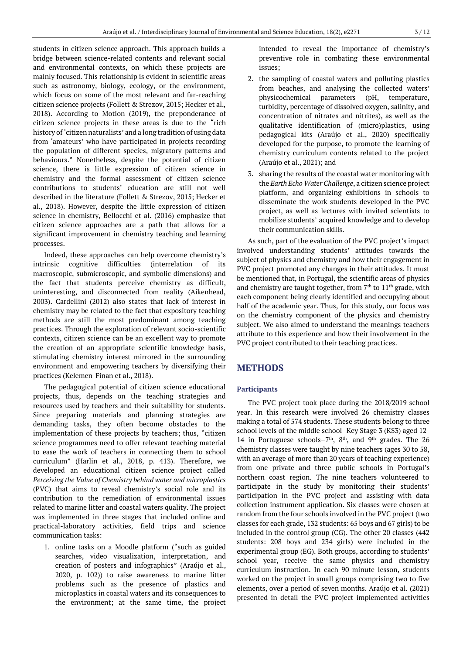students in citizen science approach. This approach builds a bridge between science-related contents and relevant social and environmental contexts, on which these projects are mainly focused. This relationship is evident in scientific areas such as astronomy, biology, ecology, or the environment, which focus on some of the most relevant and far-reaching citizen science projects (Follett & Strezov, 2015; Hecker et al.*,* 2018). According to Motion (2019), the preponderance of citizen science projects in these areas is due to the "rich history of 'citizen naturalists' and a long tradition of using data from 'amateurs' who have participated in projects recording the population of different species, migratory patterns and behaviours." Nonetheless, despite the potential of citizen science, there is little expression of citizen science in chemistry and the formal assessment of citizen science contributions to students' education are still not well described in the literature (Follett & Strezov, 2015; Hecker et al., 2018). However, despite the little expression of citizen science in chemistry, Bellocchi et al. (2016) emphasize that citizen science approaches are a path that allows for a significant improvement in chemistry teaching and learning processes.

Indeed, these approaches can help overcome chemistry's intrinsic cognitive difficulties (interrelation of its macroscopic, submicroscopic, and symbolic dimensions) and the fact that students perceive chemistry as difficult, uninteresting, and disconnected from reality (Aikenhead, 2003). Cardellini (2012) also states that lack of interest in chemistry may be related to the fact that expository teaching methods are still the most predominant among teaching practices. Through the exploration of relevant socio-scientific contexts, citizen science can be an excellent way to promote the creation of an appropriate scientific knowledge basis, stimulating chemistry interest mirrored in the surrounding environment and empowering teachers by diversifying their practices (Kelemen-Finan et al., 2018).

The pedagogical potential of citizen science educational projects, thus, depends on the teaching strategies and resources used by teachers and their suitability for students. Since preparing materials and planning strategies are demanding tasks, they often become obstacles to the implementation of these projects by teachers; thus, "citizen science programmes need to offer relevant teaching material to ease the work of teachers in connecting them to school curriculum" (Harlin et al., 2018, p. 413). Therefore, we developed an educational citizen science project called *Perceiving the Value of Chemistry behind water and microplastics*  (PVC) that aims to reveal chemistry's social role and its contribution to the remediation of environmental issues related to marine litter and coastal waters quality. The project was implemented in three stages that included online and practical-laboratory activities, field trips and science communication tasks:

1. online tasks on a Moodle platform ("such as guided searches, video visualization, interpretation, and creation of posters and infographics" (Araújo et al., 2020, p. 102)) to raise awareness to marine litter problems such as the presence of plastics and microplastics in coastal waters and its consequences to the environment; at the same time, the project intended to reveal the importance of chemistry's preventive role in combating these environmental issues;

- 2. the sampling of coastal waters and polluting plastics from beaches, and analysing the collected waters' physicochemical parameters (pH, temperature, turbidity, percentage of dissolved oxygen, salinity, and concentration of nitrates and nitrites), as well as the qualitative identification of (micro)plastics, using pedagogical kits (Araújo et al., 2020) specifically developed for the purpose, to promote the learning of chemistry curriculum contents related to the project (Araújo et al., 2021); and
- 3. sharing the results of the coastal water monitoring with the *Earth Echo Water Challenge*, a citizen science project platform, and organizing exhibitions in schools to disseminate the work students developed in the PVC project, as well as lectures with invited scientists to mobilize students' acquired knowledge and to develop their communication skills.

As such, part of the evaluation of the PVC project's impact involved understanding students' attitudes towards the subject of physics and chemistry and how their engagement in PVC project promoted any changes in their attitudes. It must be mentioned that, in Portugal, the scientific areas of physics and chemistry are taught together, from  $7<sup>th</sup>$  to  $11<sup>th</sup>$  grade, with each component being clearly identified and occupying about half of the academic year. Thus, for this study, our focus was on the chemistry component of the physics and chemistry subject. We also aimed to understand the meanings teachers attribute to this experience and how their involvement in the PVC project contributed to their teaching practices.

# **METHODS**

## **Participants**

The PVC project took place during the 2018/2019 school year. In this research were involved 26 chemistry classes making a total of 574 students. These students belong to three school levels of the middle school–Key Stage 3 (KS3) aged 12- 14 in Portuguese schools $-7<sup>th</sup>$ , 8<sup>th</sup>, and 9<sup>th</sup> grades. The 26 chemistry classes were taught by nine teachers (ages 30 to 58, with an average of more than 20 years of teaching experience) from one private and three public schools in Portugal's northern coast region. The nine teachers volunteered to participate in the study by monitoring their students' participation in the PVC project and assisting with data collection instrument application. Six classes were chosen at random from the four schools involved in the PVC project (two classes for each grade, 132 students: 65 boys and 67 girls) to be included in the control group (CG). The other 20 classes (442 students: 208 boys and 234 girls) were included in the experimental group (EG). Both groups, according to students' school year, receive the same physics and chemistry curriculum instruction. In each 90-minute lesson, students worked on the project in small groups comprising two to five elements, over a period of seven months. Araújo et al. (2021) presented in detail the PVC project implemented activities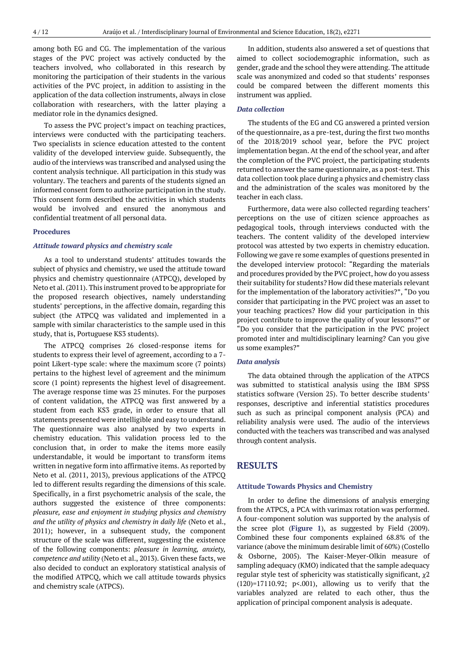among both EG and CG. The implementation of the various stages of the PVC project was actively conducted by the teachers involved, who collaborated in this research by monitoring the participation of their students in the various activities of the PVC project, in addition to assisting in the application of the data collection instruments, always in close collaboration with researchers, with the latter playing a mediator role in the dynamics designed.

To assess the PVC project's impact on teaching practices, interviews were conducted with the participating teachers. Two specialists in science education attested to the content validity of the developed interview guide. Subsequently, the audio of the interviews was transcribed and analysed using the content analysis technique. All participation in this study was voluntary. The teachers and parents of the students signed an informed consent form to authorize participation in the study. This consent form described the activities in which students would be involved and ensured the anonymous and confidential treatment of all personal data.

## **Procedures**

#### *Attitude toward physics and chemistry scale*

As a tool to understand students' attitudes towards the subject of physics and chemistry, we used the attitude toward physics and chemistry questionnaire (ATPCQ), developed by Neto et al. (2011). This instrument proved to be appropriate for the proposed research objectives, namely understanding students' perceptions, in the affective domain, regarding this subject (the ATPCQ was validated and implemented in a sample with similar characteristics to the sample used in this study, that is, Portuguese KS3 students).

The ATPCQ comprises 26 closed-response items for students to express their level of agreement, according to a 7 point Likert-type scale: where the maximum score (7 points) pertains to the highest level of agreement and the minimum score (1 point) represents the highest level of disagreement. The average response time was 25 minutes. For the purposes of content validation, the ATPCQ was first answered by a student from each KS3 grade, in order to ensure that all statements presented were intelligible and easy to understand. The questionnaire was also analysed by two experts in chemistry education. This validation process led to the conclusion that, in order to make the items more easily understandable, it would be important to transform items written in negative form into affirmative items. As reported by Neto et al. (2011, 2013), previous applications of the ATPCQ led to different results regarding the dimensions of this scale. Specifically, in a first psychometric analysis of the scale, the authors suggested the existence of three components: *pleasure, ease and enjoyment in studying physics and chemistry and the utility of physics and chemistry in daily life* (Neto et al., 2011); however, in a subsequent study, the component structure of the scale was different, suggesting the existence of the following components: *pleasure in learning, anxiety, competence and utility* (Neto et al., 2013). Given these facts, we also decided to conduct an exploratory statistical analysis of the modified ATPCQ, which we call attitude towards physics and chemistry scale (ATPCS).

In addition, students also answered a set of questions that aimed to collect sociodemographic information, such as gender, grade and the school they were attending. The attitude scale was anonymized and coded so that students' responses could be compared between the different moments this instrument was applied.

#### *Data collection*

The students of the EG and CG answered a printed version of the questionnaire, as a pre-test, during the first two months of the 2018/2019 school year, before the PVC project implementation began. At the end of the school year, and after the completion of the PVC project, the participating students returned to answer the same questionnaire, as a post-test. This data collection took place during a physics and chemistry class and the administration of the scales was monitored by the teacher in each class.

Furthermore, data were also collected regarding teachers' perceptions on the use of citizen science approaches as pedagogical tools, through interviews conducted with the teachers. The content validity of the developed interview protocol was attested by two experts in chemistry education. Following we gave re some examples of questions presented in the developed interview protocol: "Regarding the materials and procedures provided by the PVC project, how do you assess their suitability for students? How did these materials relevant for the implementation of the laboratory activities?", "Do you consider that participating in the PVC project was an asset to your teaching practices? How did your participation in this project contribute to improve the quality of your lessons?" or "Do you consider that the participation in the PVC project promoted inter and multidisciplinary learning? Can you give us some examples?"

## *Data analysis*

The data obtained through the application of the ATPCS was submitted to statistical analysis using the IBM SPSS statistics software (Version 25). To better describe students' responses, descriptive and inferential statistics procedures such as such as principal component analysis (PCA) and reliability analysis were used. The audio of the interviews conducted with the teachers was transcribed and was analysed through content analysis.

# **RESULTS**

#### **Attitude Towards Physics and Chemistry**

In order to define the dimensions of analysis emerging from the ATPCS, a PCA with varimax rotation was performed. A four-component solution was supported by the analysis of the scree plot (**Figure 1**), as suggested by Field (2009). Combined these four components explained 68.8% of the variance (above the minimum desirable limit of 60%) (Costello & Osborne, 2005). The Kaiser-Meyer-Olkin measure of sampling adequacy (KMO) indicated that the sample adequacy regular style test of sphericity was statistically significant,  $\chi$ 2  $(120)=17110.92$ ;  $p<.001$ ), allowing us to verify that the variables analyzed are related to each other, thus the application of principal component analysis is adequate.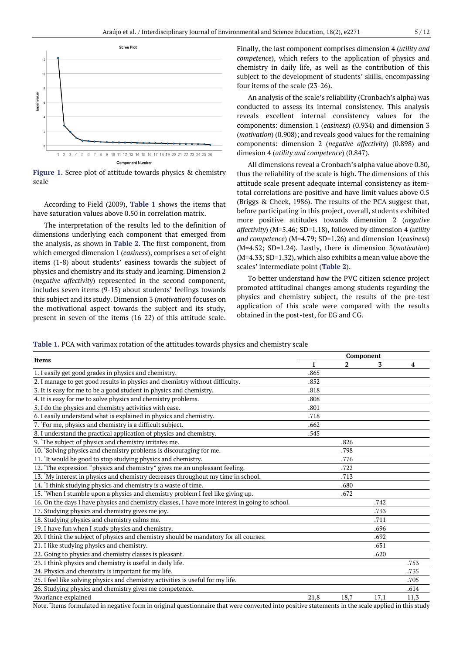

**Figure 1.** Scree plot of attitude towards physics & chemistry scale

According to Field (2009), **Table 1** shows the items that have saturation values above 0.50 in correlation matrix.

The interpretation of the results led to the definition of dimensions underlying each component that emerged from the analysis, as shown in **Table 2**. The first component, from which emerged dimension 1 (*easiness*), comprises a set of eight items (1-8) about students' easiness towards the subject of physics and chemistry and its study and learning. Dimension 2 (*negative affectivity*) represented in the second component, includes seven items (9-15) about students' feelings towards this subject and its study. Dimension 3 (*motivation*) focuses on the motivational aspect towards the subject and its study, present in seven of the items (16-22) of this attitude scale. Finally, the last component comprises dimension 4 (*utility and competence*), which refers to the application of physics and chemistry in daily life, as well as the contribution of this subject to the development of students' skills, encompassing four items of the scale (23-26).

An analysis of the scale's reliability (Cronbach's alpha) was conducted to assess its internal consistency. This analysis reveals excellent internal consistency values for the components: dimension 1 (*easiness*) (0.934) and dimension 3 (*motivation*) (0.908); and reveals good values for the remaining components: dimension 2 (*negative affectivity*) (0.898) and dimesion 4 (*utility and competence*) (0.847).

All dimensions reveal a Cronbach's alpha value above 0.80, thus the reliability of the scale is high. The dimensions of this attitude scale present adequate internal consistency as itemtotal correlations are positive and have limit values above 0.5 (Briggs & Cheek, 1986). The results of the PCA suggest that, before participating in this project, overall, students exhibited more positive attitudes towards dimension 2 (*negative affectivity*) (M=5.46; SD=1.18), followed by dimension 4 (*utility and competence*) (M=4.79; SD=1.26) and dimension 1(*easiness*) (M=4.52; SD=1.24). Lastly, there is dimension 3(*motivation*) (M=4.33; SD=1.32), which also exhibits a mean value above the scales' intermediate point (**Table 2**).

To better understand how the PVC citizen science project promoted attitudinal changes among students regarding the physics and chemistry subject, the results of the pre-test application of this scale were compared with the results obtained in the post-test, for EG and CG.

**Table 1.** PCA with varimax rotation of the attitudes towards physics and chemistry scale

| Items                                                                                          | Component |      |      |      |  |  |
|------------------------------------------------------------------------------------------------|-----------|------|------|------|--|--|
|                                                                                                | 1         | 2    | 3    | 4    |  |  |
| 1. I easily get good grades in physics and chemistry.                                          | .865      |      |      |      |  |  |
| 2. I manage to get good results in physics and chemistry without difficulty.                   | .852      |      |      |      |  |  |
| 3. It is easy for me to be a good student in physics and chemistry.                            | .818      |      |      |      |  |  |
| 4. It is easy for me to solve physics and chemistry problems.                                  | .808      |      |      |      |  |  |
| 5. I do the physics and chemistry activities with ease.                                        | .801      |      |      |      |  |  |
| 6. I easily understand what is explained in physics and chemistry.                             | .718      |      |      |      |  |  |
| 7. *For me, physics and chemistry is a difficult subject.                                      | .662      |      |      |      |  |  |
| 8. I understand the practical application of physics and chemistry.                            | .545      |      |      |      |  |  |
| 9. The subject of physics and chemistry irritates me.                                          |           | .826 |      |      |  |  |
| 10. 'Solving physics and chemistry problems is discouraging for me.                            |           | .798 |      |      |  |  |
| 11. It would be good to stop studying physics and chemistry.                                   |           | .776 |      |      |  |  |
| 12. The expression "physics and chemistry" gives me an unpleasant feeling.                     |           | .722 |      |      |  |  |
| 13. "My interest in physics and chemistry decreases throughout my time in school.              |           | .713 |      |      |  |  |
| 14. I think studying physics and chemistry is a waste of time.                                 |           | .680 |      |      |  |  |
| 15. "When I stumble upon a physics and chemistry problem I feel like giving up.                |           | .672 |      |      |  |  |
| 16. On the days I have physics and chemistry classes, I have more interest in going to school. |           |      | .742 |      |  |  |
| 17. Studying physics and chemistry gives me joy.                                               |           |      | .733 |      |  |  |
| 18. Studying physics and chemistry calms me.                                                   |           |      | .711 |      |  |  |
| 19. I have fun when I study physics and chemistry.                                             |           |      | .696 |      |  |  |
| 20. I think the subject of physics and chemistry should be mandatory for all courses.          |           |      | .692 |      |  |  |
| 21. I like studying physics and chemistry.                                                     |           |      | .651 |      |  |  |
| 22. Going to physics and chemistry classes is pleasant.                                        |           |      | .620 |      |  |  |
| 23. I think physics and chemistry is useful in daily life.                                     |           |      |      | .753 |  |  |
| 24. Physics and chemistry is important for my life.                                            |           |      |      | .735 |  |  |
| 25. I feel like solving physics and chemistry activities is useful for my life.                |           |      |      | .705 |  |  |
| 26. Studying physics and chemistry gives me competence.                                        |           |      |      | .614 |  |  |
| %variance explained                                                                            | 21,8      | 18,7 | 17,1 | 11,3 |  |  |

Note. **\*** Items formulated in negative form in original questionnaire that were converted into positive statements in the scale applied in this study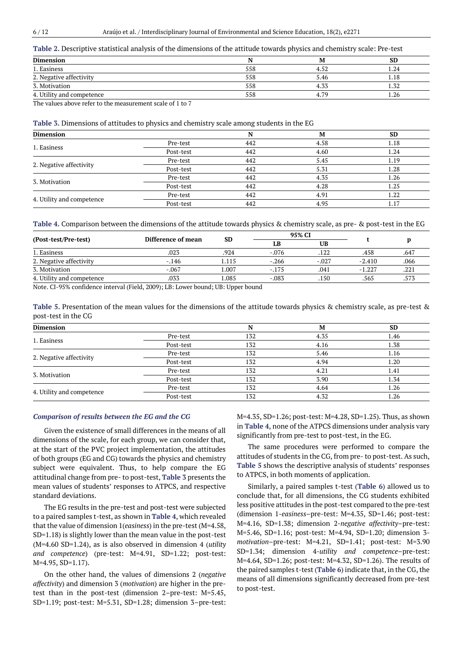#### **Table 2.** Descriptive statistical analysis of the dimensions of the attitude towards physics and chemistry scale: Pre-test

| <b>Dimension</b>          |     | M    | SD     |
|---------------------------|-----|------|--------|
| 1. Easiness               | 558 | 4.52 | . . 24 |
| 2. Negative affectivity   | 558 | 5.46 | 1.18   |
| 3. Motivation             | 558 | 4.33 | 1.32   |
| 4. Utility and competence | 558 | 4.79 | 1.26   |

The values above refer to the measurement scale of 1 to 7

## **Table 3.** Dimensions of attitudes to physics and chemistry scale among students in the EG

| Dimension                 |           |     | M    | <b>SD</b> |
|---------------------------|-----------|-----|------|-----------|
| 1. Easiness               | Pre-test  | 442 | 4.58 | 1.18      |
|                           | Post-test | 442 | 4.60 | 1.24      |
|                           | Pre-test  | 442 | 5.45 | 1.19      |
| 2. Negative affectivity   | Post-test | 442 | 5.31 | 1.28      |
|                           | Pre-test  | 442 | 4.35 | 1.26      |
| 3. Motivation             | Post-test | 442 | 4.28 | 1.25      |
|                           | Pre-test  | 442 | 4.91 | 1.22      |
| 4. Utility and competence | Post-test | 442 | 4.95 | 1.17      |

| Table 4. Comparison between the dimensions of the attitude towards physics & chemistry scale, as pre- & post-test in the EG |  |  |  |  |  |
|-----------------------------------------------------------------------------------------------------------------------------|--|--|--|--|--|
|                                                                                                                             |  |  |  |  |  |

| (Post-test/Pre-test)      | Difference of mean |       |         | 95% CI  |          |      |
|---------------------------|--------------------|-------|---------|---------|----------|------|
|                           |                    | SD    | LВ      | UB      |          |      |
| 1. Easiness               | .023               | .924  | $-.076$ | .122    | .458     | .647 |
| 2. Negative affectivity   | $-146$             | l.115 | $-.266$ | $-.027$ | $-2.410$ | .066 |
| 3. Motivation             | $-.067$            | 1.007 | $-.175$ | .041    | $-1.227$ | .221 |
| 4. Utility and competence | .033               | 1.085 | $-.083$ | .150    | .565     | .573 |
|                           | .                  | .     |         |         |          |      |

Note. CI-95% confidence interval (Field, 2009); LB: Lower bound; UB: Upper bound

**Table 5.** Presentation of the mean values for the dimensions of the attitude towards physics & chemistry scale, as pre-test & post-test in the CG

| <b>Dimension</b>          |           |     | M    | <b>SD</b> |
|---------------------------|-----------|-----|------|-----------|
| 1. Easiness               | Pre-test  | 132 | 4.35 | 1.46      |
|                           | Post-test | 132 | 4.16 | 1.38      |
|                           | Pre-test  | 132 | 5.46 | 1.16      |
| 2. Negative affectivity   | Post-test | 132 | 4.94 | 1.20      |
|                           | Pre-test  | 132 | 4.21 | 1.41      |
| 3. Motivation             | Post-test | 132 | 3.90 | 1.34      |
|                           | Pre-test  | 132 | 4.64 | 1.26      |
| 4. Utility and competence | Post-test | 132 | 4.32 | 1.26      |

#### *Comparison of results between the EG and the CG*

Given the existence of small differences in the means of all dimensions of the scale, for each group, we can consider that, at the start of the PVC project implementation, the attitudes of both groups (EG and CG) towards the physics and chemistry subject were equivalent. Thus, to help compare the EG attitudinal change from pre- to post-test, **Table 3** presents the mean values of students' responses to ATPCS, and respective standard deviations.

The EG results in the pre-test and post-test were subjected to a paired samples t-test, as shown in **Table 4**, which revealed that the value of dimension 1(*easiness*) in the pre-test (M=4.58, SD=1.18) is slightly lower than the mean value in the post-test (M=4.60 SD=1.24), as is also observed in dimension 4 (*utility and competence*) (pre-test: M=4.91, SD=1.22; post-test: M=4.95, SD=1*.*17).

On the other hand, the values of dimensions 2 (*negative affectivity*) and dimension 3 (*motivation*) are higher in the pretest than in the post-test (dimension 2–pre-test: M=5.45, SD=1.19; post-test: M=5.31, SD=1.28; dimension 3–pre-test: M=4.35, SD=1.26; post-test: M=4.28, SD=1.25). Thus, as shown in **Table 4**, none of the ATPCS dimensions under analysis vary significantly from pre-test to post-test, in the EG.

The same procedures were performed to compare the attitudes of students in the CG, from pre- to post-test. As such, **Table 5** shows the descriptive analysis of students' responses to ATPCS, in both moments of application.

Similarly, a paired samples t-test (**Table 6**) allowed us to conclude that, for all dimensions, the CG students exhibited less positive attitudes in the post-test compared to the pre-test (dimension 1-*easiness–*pre-test: M=4.35, SD=1.46; post-test: M=4.16, SD=1.38; dimension 2-*negative affectivity*–pre-test: M=5.46, SD=1.16; post-test: M=4.94, SD=1.20; dimension 3 *motivation*–pre-test: M=4.21, SD=1.41; post-test: M=3.90 SD=1.34; dimension 4-*utility and competence*–pre-test: M=4.64, SD=1.26; post-test: M=4.32, SD=1.26). The results of the paired samples t-test (**Table 6**) indicate that, in the CG, the means of all dimensions significantly decreased from pre-test to post-test.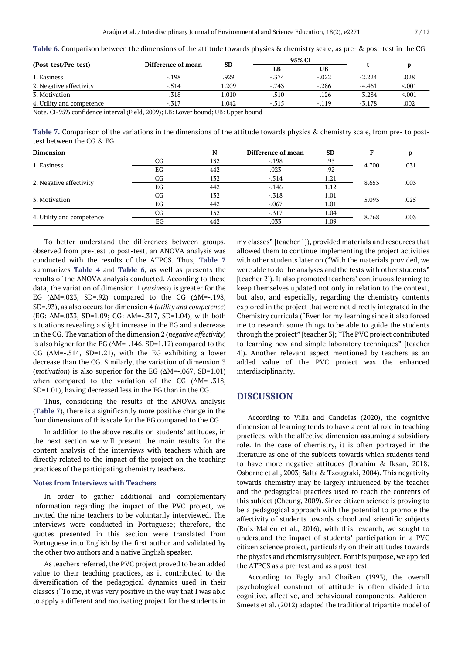| Table 6. Comparison between the dimensions of the attitude towards physics & chemistry scale, as pre- & post-test in the CG |  |  |
|-----------------------------------------------------------------------------------------------------------------------------|--|--|
|-----------------------------------------------------------------------------------------------------------------------------|--|--|

|                                                                                           |                                      |          |         | 95% CI    |          |         |
|-------------------------------------------------------------------------------------------|--------------------------------------|----------|---------|-----------|----------|---------|
| (Post-test/Pre-test)                                                                      | Difference of mean                   | SD       | ĹВ      | <b>UB</b> |          |         |
| 1. Easiness                                                                               | $-.198$                              | .929     | $-.374$ | $-.022$   | $-2.224$ | .028    |
| 2. Negative affectivity                                                                   | $-.514$                              | 1.209    | $-.743$ | $-.286$   | $-4.461$ | < 0.001 |
| 3. Motivation                                                                             | $-.318$                              | 1.010    | $-.510$ | $-.126$   | $-3.284$ | < 0.001 |
| 4. Utility and competence                                                                 | $-.317$                              | 1.042    | $-.515$ | $-.119$   | $-3.178$ | .002    |
| $\sim$ 1<br>$\mathbf{r}$ $\mathbf{r}$ $\mathbf{r}$ $\mathbf{r}$ $\mathbf{r}$<br>$\cdot$ . | $1/\pi$ ; 11 0000; $\pi$ $\pi$ $\pi$ | 1.777.77 |         |           |          |         |

Note. CI-95% confidence interval (Field, 2009); LB: Lower bound; UB: Upper bound

**Table 7.** Comparison of the variations in the dimensions of the attitude towards physics & chemistry scale, from pre- to posttest between the CG & EG

| <b>Dimension</b>          |    | N   | Difference of mean | <b>SD</b> |       |      |
|---------------------------|----|-----|--------------------|-----------|-------|------|
| 1. Easiness               | CG | 132 | $-.198$            | .93       | 4.700 | .031 |
|                           | EG | 442 | .023               | .92       |       |      |
| 2. Negative affectivity   | CG | 132 | $-.514$            | 1.21      | 8.653 | .003 |
|                           | EG | 442 | $-146$             | 1.12      |       |      |
| 3. Motivation             | CG | 132 | $-.318$            | 1.01      | 5.093 | .025 |
|                           | EG | 442 | $-.067$            | 1.01      |       |      |
|                           | CG | 132 | $-.317$            | 1.04      | 8.768 | .003 |
| 4. Utility and competence | EG | 442 | .033               | 1.09      |       |      |

To better understand the differences between groups, observed from pre-test to post-test, an ANOVA analysis was conducted with the results of the ATPCS. Thus, **Table 7** summarizes **Table 4** and **Table 6**, as well as presents the results of the ANOVA analysis conducted. According to these data, the variation of dimension 1 (*easiness*) is greater for the EG  $(\Delta M = .023, SD = .92)$  compared to the CG  $(\Delta M = .198,$ SD=.93), as also occurs for dimension 4 (*utility and competence*) (EG: ΔM=.033, SD=1.09; CG: ΔM=-.317, SD=1.04), with both situations revealing a slight increase in the EG and a decrease in the CG. The variation of the dimension 2 (*negative affectivity*) is also higher for the EG ( $\Delta M$ =-.146, SD=1.12) compared to the CG (ΔM=-.514, SD=1.21), with the EG exhibiting a lower decrease than the CG. Similarly, the variation of dimension 3 (*motivation*) is also superior for the EG (ΔM=-.067, SD=1.01) when compared to the variation of the CG  $(\Delta M = -0.318,$ SD=1.01), having decreased less in the EG than in the CG.

Thus, considering the results of the ANOVA analysis (**Table 7**), there is a significantly more positive change in the four dimensions of this scale for the EG compared to the CG.

In addition to the above results on students' attitudes, in the next section we will present the main results for the content analysis of the interviews with teachers which are directly related to the impact of the project on the teaching practices of the participating chemistry teachers.

# **Notes from Interviews with Teachers**

In order to gather additional and complementary information regarding the impact of the PVC project, we invited the nine teachers to be voluntarily interviewed. The interviews were conducted in Portuguese; therefore, the quotes presented in this section were translated from Portuguese into English by the first author and validated by the other two authors and a native English speaker.

As teachers referred, the PVC project proved to be an added value to their teaching practices, as it contributed to the diversification of the pedagogical dynamics used in their classes ("To me, it was very positive in the way that I was able to apply a different and motivating project for the students in my classes" [teacher 1]), provided materials and resources that allowed them to continue implementing the project activities with other students later on ("With the materials provided, we were able to do the analyses and the tests with other students" [teacher 2]). It also promoted teachers' continuous learning to keep themselves updated not only in relation to the context, but also, and especially, regarding the chemistry contents explored in the project that were not directly integrated in the Chemistry curricula ("Even for my learning since it also forced me to research some things to be able to guide the students through the project" [teacher 3]; "The PVC project contributed to learning new and simple laboratory techniques" [teacher 4]). Another relevant aspect mentioned by teachers as an added value of the PVC project was the enhanced ınterdisciplinarity.

# **DISCUSSION**

According to Vilia and Candeias (2020), the cognitive dimension of learning tends to have a central role in teaching practices, with the affective dimension assuming a subsidiary role. In the case of chemistry, it is often portrayed in the literature as one of the subjects towards which students tend to have more negative attitudes (Ibrahim & Iksan, 2018; Osborne et al., 2003; Salta & Tzougraki, 2004). This negativity towards chemistry may be largely influenced by the teacher and the pedagogical practices used to teach the contents of this subject (Cheung, 2009). Since citizen science is proving to be a pedagogical approach with the potential to promote the affectivity of students towards school and scientific subjects (Ruiz-Mallén et al., 2016), with this research, we sought to understand the impact of students' participation in a PVC citizen science project, particularly on their attitudes towards the physics and chemistry subject. For this purpose, we applied the ATPCS as a pre-test and as a post-test.

According to Eagly and Chaiken (1993), the overall psychological construct of attitude is often divided into cognitive, affective, and behavioural components. Aalderen-Smeets et al. (2012) adapted the traditional tripartite model of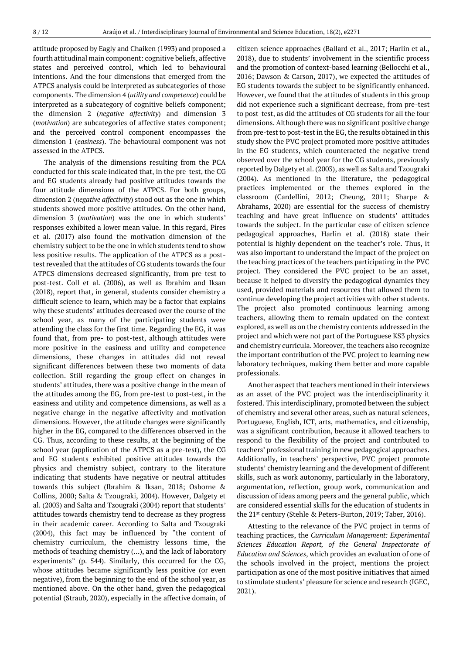attitude proposed by Eagly and Chaiken (1993) and proposed a fourth attitudinal main component: cognitive beliefs, affective states and perceived control, which led to behavioural intentions. And the four dimensions that emerged from the ATPCS analysis could be interpreted as subcategories of those components. The dimension 4 (*utility and competence*) could be interpreted as a subcategory of cognitive beliefs component; the dimension 2 (*negative affectivity*) and dimension 3 (*motivation*) are subcategories of affective states component; and the perceived control component encompasses the dimension 1 (*easiness*). The behavioural component was not assessed in the ATPCS.

The analysis of the dimensions resulting from the PCA conducted for this scale indicated that, in the pre-test, the CG and EG students already had positive attitudes towards the four attitude dimensions of the ATPCS. For both groups, dimension 2 (*negative affectivity*) stood out as the one in which students showed more positive attitudes. On the other hand, dimension 3 (*motivation*) was the one in which students' responses exhibited a lower mean value. In this regard, Pires et al. (2017) also found the motivation dimension of the chemistry subject to be the one in which students tend to show less positive results. The application of the ATPCS as a posttest revealed that the attitudes of CG students towards the four ATPCS dimensions decreased significantly, from pre-test to post-test. Coll et al. (2006), as well as Ibrahim and Iksan (2018), report that, in general, students consider chemistry a difficult science to learn, which may be a factor that explains why these students' attitudes decreased over the course of the school year, as many of the participating students were attending the class for the first time. Regarding the EG, it was found that, from pre- to post-test, although attitudes were more positive in the easiness and utility and competence dimensions, these changes in attitudes did not reveal significant differences between these two moments of data collection. Still regarding the group effect on changes in students' attitudes, there was a positive change in the mean of the attitudes among the EG, from pre-test to post-test, in the easiness and utility and competence dimensions, as well as a negative change in the negative affectivity and motivation dimensions. However, the attitude changes were significantly higher in the EG, compared to the differences observed in the CG. Thus, according to these results, at the beginning of the school year (application of the ATPCS as a pre-test), the CG and EG students exhibited positive attitudes towards the physics and chemistry subject, contrary to the literature indicating that students have negative or neutral attitudes towards this subject (Ibrahim & Iksan, 2018; Osborne & Collins, 2000; Salta & Tzougraki, 2004). However, Dalgety et al. (2003) and Salta and Tzougraki (2004) report that students' attitudes towards chemistry tend to decrease as they progress in their academic career. According to Salta and Tzougraki (2004), this fact may be influenced by "the content of chemistry curriculum, the chemistry lessons time, the methods of teaching chemistry (…), and the lack of laboratory experiments" (p. 544). Similarly, this occurred for the CG, whose attitudes became significantly less positive (or even negative), from the beginning to the end of the school year, as mentioned above. On the other hand, given the pedagogical potential (Straub, 2020), especially in the affective domain, of citizen science approaches (Ballard et al., 2017; Harlin et al., 2018), due to students' involvement in the scientific process and the promotion of context-based learning (Bellocchi et al., 2016; Dawson & Carson, 2017), we expected the attitudes of EG students towards the subject to be significantly enhanced. However, we found that the attitudes of students in this group did not experience such a significant decrease, from pre-test to post-test, as did the attitudes of CG students for all the four dimensions. Although there was no significant positive change from pre-test to post-test in the EG, the results obtained in this study show the PVC project promoted more positive attitudes in the EG students, which counteracted the negative trend observed over the school year for the CG students, previously reported by Dalgety et al. (2003), as well as Salta and Tzougraki (2004). As mentioned in the literature, the pedagogical practices implemented or the themes explored in the classroom (Cardellini, 2012; Cheung, 2011; Sharpe & Abrahams, 2020) are essential for the success of chemistry teaching and have great influence on students' attitudes towards the subject. In the particular case of citizen science pedagogical approaches, Harlin et al. (2018) state their potential is highly dependent on the teacher's role. Thus, it was also important to understand the impact of the project on the teaching practices of the teachers participating in the PVC project. They considered the PVC project to be an asset, because it helped to diversify the pedagogical dynamics they used, provided materials and resources that allowed them to continue developing the project activities with other students. The project also promoted continuous learning among teachers, allowing them to remain updated on the context explored, as well as on the chemistry contents addressed in the project and which were not part of the Portuguese KS3 physics and chemistry curricula. Moreover, the teachers also recognize the important contribution of the PVC project to learning new laboratory techniques, making them better and more capable professionals.

Another aspect that teachers mentioned in their interviews as an asset of the PVC project was the interdisciplinarity it fostered. This interdisciplinary, promoted between the subject of chemistry and several other areas, such as natural sciences, Portuguese, English, ICT, arts, mathematics, and citizenship, was a significant contribution, because it allowed teachers to respond to the flexibility of the project and contributed to teachers' professional training in new pedagogical approaches. Additionally, in teachers' perspective, PVC project promote students' chemistry learning and the development of different skills, such as work autonomy, particularly in the laboratory, argumentation, reflection, group work, communication and discussion of ideas among peers and the general public, which are considered essential skills for the education of students in the 21st century (Stehle & Peters-Burton, 2019; Taber, 2016).

Attesting to the relevance of the PVC project in terms of teaching practices, the *Curriculum Management: Experimental Sciences Education Report, of the General Inspectorate of Education and Sciences*, which provides an evaluation of one of the schools involved in the project, mentions the project participation as one of the most positive initiatives that aimed to stimulate students' pleasure for science and research (IGEC, 2021).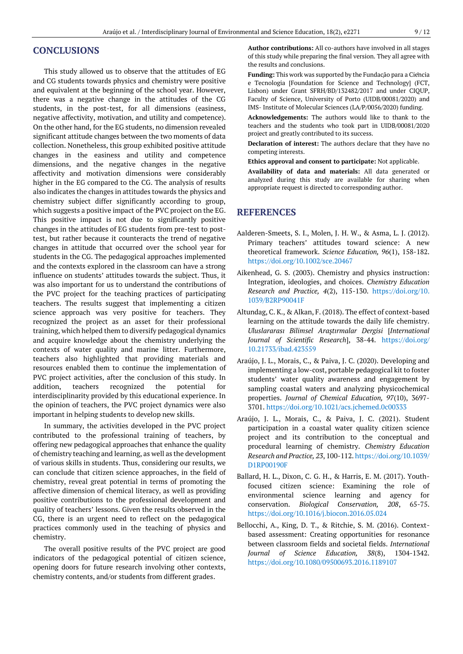# **CONCLUSIONS**

This study allowed us to observe that the attitudes of EG and CG students towards physics and chemistry were positive and equivalent at the beginning of the school year. However, there was a negative change in the attitudes of the CG students, in the post-test, for all dimensions (easiness, negative affectivity, motivation, and utility and competence). On the other hand, for the EG students, no dimension revealed significant attitude changes between the two moments of data collection. Nonetheless, this group exhibited positive attitude changes in the easiness and utility and competence dimensions, and the negative changes in the negative affectivity and motivation dimensions were considerably higher in the EG compared to the CG. The analysis of results also indicates the changes in attitudes towards the physics and chemistry subject differ significantly according to group, which suggests a positive impact of the PVC project on the EG. This positive impact is not due to significantly positive changes in the attitudes of EG students from pre-test to posttest, but rather because it counteracts the trend of negative changes in attitude that occurred over the school year for students in the CG. The pedagogical approaches implemented and the contexts explored in the classroom can have a strong influence on students' attitudes towards the subject. Thus, it was also important for us to understand the contributions of the PVC project for the teaching practices of participating teachers. The results suggest that implementing a citizen science approach was very positive for teachers. They recognized the project as an asset for their professional training, which helped them to diversify pedagogical dynamics and acquire knowledge about the chemistry underlying the contexts of water quality and marine litter. Furthermore, teachers also highlighted that providing materials and resources enabled them to continue the implementation of PVC project activities, after the conclusion of this study. In addition, teachers recognized the potential for interdisciplinarity provided by this educational experience. In the opinion of teachers, the PVC project dynamics were also important in helping students to develop new skills.

In summary, the activities developed in the PVC project contributed to the professional training of teachers, by offering new pedagogical approaches that enhance the quality of chemistry teaching and learning, as well as the development of various skills in students. Thus, considering our results, we can conclude that citizen science approaches, in the field of chemistry, reveal great potential in terms of promoting the affective dimension of chemical literacy, as well as providing positive contributions to the professional development and quality of teachers' lessons. Given the results observed in the CG, there is an urgent need to reflect on the pedagogical practices commonly used in the teaching of physics and chemistry.

The overall positive results of the PVC project are good indicators of the pedagogical potential of citizen science, opening doors for future research involving other contexts, chemistry contents, and/or students from different grades.

**Author contributions:** All co-authors have involved in all stages of this study while preparing the final version. They all agree with the results and conclusions.

**Funding:** This work was supported by the Fundação para a Ciência e Tecnologia [Foundation for Science and Technology] (FCT, Lisbon) under Grant SFRH/BD/132482/2017 and under CIQUP, Faculty of Science, University of Porto (UIDB/00081/2020) and IMS- Institute of Molecular Sciences (LA/P/0056/2020) funding.

**Acknowledgements:** The authors would like to thank to the teachers and the students who took part in UIDB/00081/2020 project and greatly contributed to its success.

**Declaration of interest:** The authors declare that they have no competing interests.

**Ethics approval and consent to participate:** Not applicable.

**Availability of data and materials:** All data generated or analyzed during this study are available for sharing when appropriate request is directed to corresponding author.

# **REFERENCES**

- Aalderen-Smeets, S. I., Molen, J. H. W., & Asma, L. J. (2012). Primary teachers' attitudes toward science: A new theoretical framework. *Science Education, 96*(1), 158-182. <https://doi.org/10.1002/sce.20467>
- Aikenhead, G. S. (2003). Chemistry and physics instruction: Integration, ideologies, and choices. *Chemistry Education Research and Practice, 4*(2), 115-130. [https://doi.org/10.](https://doi.org/10.1039/B2RP90041F) [1039/B2RP90041F](https://doi.org/10.1039/B2RP90041F)
- Altundag, C. K., & Alkan, F. (2018). The effect of context-based learning on the attitude towards the daily life chemistry. *Uluslararası Bilimsel Araştırmalar Dergisi* [*International Journal of Scientific Research*], 38-44. [https://doi.org/](https://doi.org/10.21733/ibad.423559) [10.21733/ibad.423559](https://doi.org/10.21733/ibad.423559)
- Araújo, J. L., Morais, C., & Paiva, J. C. (2020). Developing and implementing a low-cost, portable pedagogical kit to foster students' water quality awareness and engagement by sampling coastal waters and analyzing physicochemical properties. *Journal of Chemical Education, 97*(10), 3697- 3701. <https://doi.org/10.1021/acs.jchemed.0c00333>
- Araújo, J. L., Morais, C., & Paiva, J. C. (2021). Student participation in a coastal water quality citizen science project and its contribution to the conceptual and procedural learning of chemistry. *Chemistry Education Research and Practice, 23*, 100-112[. https://doi.org/10.1039/](https://doi.org/10.1039/D1RP00190F) [D1RP00190F](https://doi.org/10.1039/D1RP00190F)
- Ballard, H. L., Dixon, C. G. H., & Harris, E. M. (2017). Youthfocused citizen science: Examining the role of environmental science learning and agency for conservation. *Biological Conservation, 208*, 65-75. <https://doi.org/10.1016/j.biocon.2016.05.024>
- Bellocchi, A., King, D. T., & Ritchie, S. M. (2016). Contextbased assessment: Creating opportunities for resonance between classroom fields and societal fields. *International Journal of Science Education, 38*(8), 1304-1342. <https://doi.org/10.1080/09500693.2016.1189107>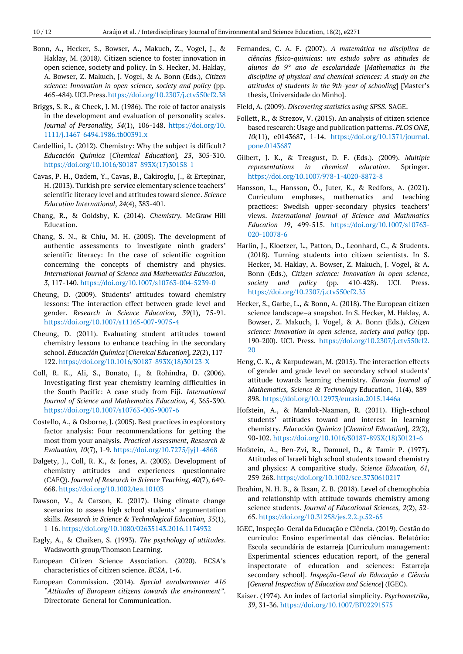- Bonn, A., Hecker, S., Bowser, A., Makuch, Z., Vogel, J., & Haklay, M. (2018*).* Citizen science to foster innovation in open science, society and policy. In S. Hecker, M. Haklay, A. Bowser, Z. Makuch, J. Vogel, & A. Bonn (Eds.), *Citizen science: Innovation in open science, society and policy* (pp. 465-484).UCLPress[.https://doi.org/10.2307/j.ctv550cf2.38](https://doi.org/10.2307/j.ctv550cf2.38)
- Briggs, S. R., & Cheek, J. M. (1986). The role of factor analysis in the development and evaluation of personality scales. *Journal of Personality, 54*(1), 106-148. [https://doi.org/10.](https://doi.org/10.1111/j.1467-6494.1986.tb00391.x) [1111/j.1467-6494.1986.tb00391.x](https://doi.org/10.1111/j.1467-6494.1986.tb00391.x)
- Cardellini, L. (2012). Chemistry: Why the subject is difficult? *Educación Química* [*Chemical Education*]*, 23*, 305-310. [https://doi.org/10.1016/S0187-893X\(17\)30158-1](https://doi.org/10.1016/S0187-893X(17)30158-1)
- Cavas, P. H., Ozdem, Y., Cavas, B., Cakiroglu, J., & Ertepinar, H. (2013). Turkish pre-service elementary science teachers' scientific literacy level and attitudes toward sience. *Science Education International*, *24*(4), 383-401.
- Chang, R., & Goldsby, K. (2014). *Chemistry*. McGraw-Hill Education.
- Chang, S. N., & Chiu, M. H. (2005). The development of authentic assessments to investigate ninth graders' scientific literacy: In the case of scientific cognition concerning the concepts of chemistry and physics. *International Journal of Science and Mathematics Education, 3*, 117-140[. https://doi.org/10.1007/s10763-004-5239-0](https://doi.org/10.1007/s10763-004-5239-0)
- Cheung, D. (2009). Students' attitudes toward chemistry lessons: The interaction effect between grade level and gender. *Research in Science Education, 39*(1), 75-91. <https://doi.org/10.1007/s11165-007-9075-4>
- Cheung, D. (2011). Evaluating student attitudes toward chemistry lessons to enhance teaching in the secondary school. *Educación Química* [*Chemical Education*]*, 22*(2), 117- 122. [https://doi.org/10.1016/S0187-893X\(18\)30123-X](https://doi.org/10.1016/S0187-893X(18)30123-X)
- Coll, R. K., Ali, S., Bonato, J., & Rohindra, D. (2006). Investigating first-year chemistry learning difficulties in the South Pacific: A case study from Fiji. *International Journal of Science and Mathematics Education, 4*, 365-390. <https://doi.org/10.1007/s10763-005-9007-6>
- Costello, A., & Osborne, J. (2005). Best practices in exploratory factor analysis: Four recommendations for getting the most from your analysis. *Practical Assessment, Research & Evaluation, 10*(7), 1-9.<https://doi.org/10.7275/jyj1-4868>
- Dalgety, J., Coll, R. K., & Jones, A. (2003). Development of chemistry attitudes and experiences questionnaire (CAEQ). *Journal of Research in Science Teaching, 40*(7), 649- 668.<https://doi.org/10.1002/tea.10103>
- Dawson, V., & Carson, K. (2017). Using climate change scenarios to assess high school students' argumentation skills. *Research in Science & Technological Education, 35*(1), 1-16. <https://doi.org/10.1080/02635143.2016.1174932>
- Eagly, A., & Chaiken, S. (1993). *The psychology of attitudes*. Wadsworth group/Thomson Learning.
- European Citizen Science Association. (2020). ECSA's characteristics of citizen science. *ECSA*, 1-6.
- European Commission. (2014). *Special eurobarometer 416 "Attitudes of European citizens towards the environment"*. Directorate-General for Communication.
- Fernandes, C. A. F. (2007). *A matemática na disciplina de ciências físico-quimicas: um estudo sobre as atitudes de alunos do 9° ano de escolaridade* [*Mathematics in the discipline of physical and chemical sciences: A study on the attitudes of students in the 9th-year of schooling*] [Master's thesis, Universidade do Minho].
- Field, A. (2009). *Discovering statistics using SPSS*. SAGE.
- Follett, R., & Strezov, V. (2015). An analysis of citizen science based research: Usage and publication patterns. *PLOS ONE, 10*(11), e0143687, 1-14. [https://doi.org/10.1371/journal.](https://doi.org/10.1371/journal.pone.0143687) [pone.0143687](https://doi.org/10.1371/journal.pone.0143687)
- Gilbert, J. K., & Treagust, D. F. (Eds.). (2009). *Multiple representations in chemical education*. Springer. <https://doi.org/10.1007/978-1-4020-8872-8>
- Hansson, L., Hansson, Ö., Juter, K., & Redfors, A. (2021)*.* Curriculum emphases, mathematics and teaching practices: Swedish upper-secondary physics teachers' views. *International Journal of Science and Mathmatics Education 19*, 499-515. [https://doi.org/10.1007/s10763-](https://doi.org/10.1007/s10763-020-10078-6) [020-10078-6](https://doi.org/10.1007/s10763-020-10078-6)
- Harlin, J., Kloetzer, L., Patton, D., Leonhard, C., & Students. (2018). Turning students into citizen scientists. In S. Hecker, M. Haklay, A. Bowser, Z. Makuch, J. Vogel, & A. Bonn (Eds.), *Citizen science: Innovation in open science, society and policy* (pp. 410-428). UCL Press. <https://doi.org/10.2307/j.ctv550cf2.35>
- Hecker, S., Garbe, L., & Bonn, A. (2018). The European citizen science landscape–a snapshot. In S. Hecker, M. Haklay, A. Bowser, Z. Makuch, J. Vogel, & A. Bonn (Eds.), *Citizen science: Innovation in open science, society and policy* (pp. 190-200). UCL Press. [https://doi.org/10.2307/j.ctv550cf2.](https://doi.org/10.2307/j.ctv550cf2.20) [20](https://doi.org/10.2307/j.ctv550cf2.20)
- Heng, C. K., & Karpudewan, M. (2015). The interaction effects of gender and grade level on secondary school students' attitude towards learning chemistry. *Eurasia Journal of Mathematics, Science & Technology* Education, 11(4), 889- 898.<https://doi.org/10.12973/eurasia.2015.1446a>
- Hofstein, A., & Mamlok-Naaman, R. (2011). High-school students' attitudes toward and interest in learning chemistry. *Educación Química* [*Chemical Education*]*, 22*(2), 90-102[. https://doi.org/10.1016/S0187-893X\(18\)30121-6](https://doi.org/10.1016/S0187-893X(18)30121-6)
- Hofstein, A., Ben-Zvi, R., Damuel, D., & Tamir P. (1977). Attitudes of Israeli high school students toward chemistry and physics: A comparitive study. *Science Education, 61*, 259-268[. https://doi.org/10.1002/sce.3730610217](https://doi.org/10.1002/sce.3730610217)
- Ibrahim, N. H. B., & Iksan, Z. B. (2018). Level of chemophobia and relationship with attitude towards chemistry among science students. *Journal of Educational Sciences, 2*(2), 52- 65. <https://doi.org/10.31258/jes.2.2.p.52-65>
- IGEC, Inspeção-Geral da Educação e Ciência. (2019). Gestão do currículo: Ensino experimental das ciências. Relatório: Escola secundária de estarreja [Curriculum management: Experimental sciences education report, of the general inspectorate of education and sciences: Estarreja secondary school]. *Inspeção-Geral da Educação e Ciência* [*General Inspection of Education and Science*] (IGEC).
- Kaiser. (1974). An index of factorial simplicity. *Psychometrika, 39*, 31-36.<https://doi.org/10.1007/BF02291575>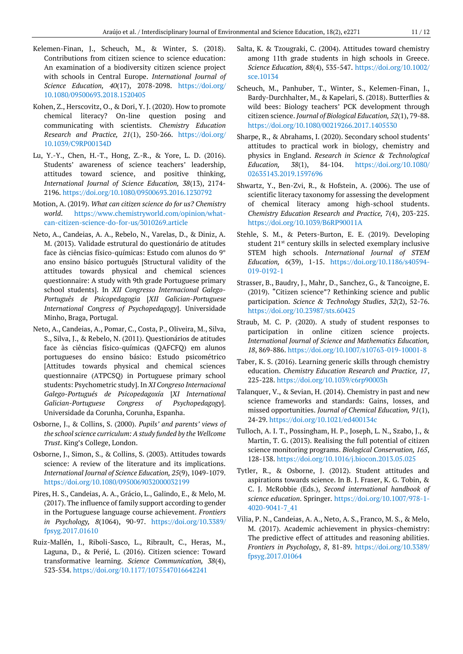- Kelemen-Finan, J., Scheuch, M., & Winter, S. (2018). Contributions from citizen science to science education: An examination of a biodiversity citizen science project with schools in Central Europe. *International Journal of Science Education, 40*(17), 2078-2098. [https://doi.org/](https://doi.org/10.1080/09500693.2018.1520405) [10.1080/09500693.2018.1520405](https://doi.org/10.1080/09500693.2018.1520405)
- Kohen, Z., Herscovitz, O., & Dori, Y. J. (2020). How to promote chemical literacy? On-line question posing and communicating with scientists. *Chemistry Education Research and Practice, 21*(1), 250-266. [https://doi.org/](https://doi.org/10.1039/C9RP00134D) [10.1039/C9RP00134D](https://doi.org/10.1039/C9RP00134D)
- Lu, Y.-Y., Chen, H.-T., Hong, Z.-R., & Yore, L. D. (2016). Students' awareness of science teachers' leadership, attitudes toward science, and positive thinking, *International Journal of Science Education, 38*(13), 2174- 2196[. https://doi.org/10.1080/09500693.2016.1230792](https://doi.org/10.1080/09500693.2016.1230792)
- Motion, A. (2019). *What can citizen science do for us? Chemistry world*. [https://www.chemistryworld.com/opinion/what](https://www.chemistryworld.com/opinion/what-can-citizen-science-do-for-us/3010269.article)[can-citizen-science-do-for-us/3010269.article](https://www.chemistryworld.com/opinion/what-can-citizen-science-do-for-us/3010269.article)
- Neto, A., Candeias, A. A., Rebelo, N., Varelas, D., & Diniz, A. M. (2013). Validade estrutural do questionário de atitudes face às ciências físico-químicas: Estudo com alunos do 9° ano ensino básico português [Structural validity of the attitudes towards physical and chemical sciences questionnaire: A study with 9th grade Portuguese primary school students]. In *XII Congresso Internacional Galego-Português de Psicopedagogia* [*XII Galician-Portuguese International Congress of Psychopedagogy*]. Universidade Minho, Braga, Portugal.
- Neto, A., Candeias, A., Pomar, C., Costa, P., Oliveira, M., Silva, S., Silva, J., & Rebelo, N. (2011). Questionários de atitudes face às ciências físico-químicas (QAFCFQ) em alunos portugueses do ensino básico: Estudo psicométrico [Attitudes towards physical and chemical sciences questionnaire (ATPCSQ) in Portuguese primary school students: Psychometric study]. In *XI Congreso Internacional Galego-Portugués de Psicopedagoxía* [*XI International Galician-Portuguese Congress of Psychopedagogy*]. Universidade da Corunha, Corunha, Espanha.
- Osborne, J., & Collins, S. (2000). *Pupils' and parents' views of the school science curriculum: A study funded by the Wellcome Trust*. King's College, London.
- Osborne, J., Simon, S., & Collins, S. (2003). Attitudes towards science: A review of the literature and its implications. *International Journal of Science Education, 25*(9), 1049-1079. <https://doi.org/10.1080/0950069032000032199>
- Pires, H. S., Candeias, A. A., Grácio, L., Galindo, E., & Melo, M. (2017). The influence of family support according to gender in the Portuguese language course achievement. *Frontiers in Psychology, 8*(1064), 90-97. [https://doi.org/10.3389/](https://doi.org/10.3389/fpsyg.2017.01610) [fpsyg.2017.01610](https://doi.org/10.3389/fpsyg.2017.01610)
- Ruiz-Mallén, I., Riboli-Sasco, L., Ribrault, C., Heras, M., Laguna, D., & Perié, L. (2016). Citizen science: Toward transformative learning. *Science Communication, 38*(4), 523-534. <https://doi.org/10.1177/1075547016642241>
- Salta, K. & Tzougraki, C. (2004). Attitudes toward chemistry among 11th grade students in high schools in Greece. *Science Education, 88*(4), 535-547. [https://doi.org/10.1002/](https://doi.org/10.1002/sce.10134) [sce.10134](https://doi.org/10.1002/sce.10134)
- Scheuch, M., Panhuber, T., Winter, S., Kelemen-Finan, J., Bardy-Durchhalter, M., & Kapelari, S. (2018). Butterflies & wild bees: Biology teachers' PCK development through citizen science. *Journal of Biological Education, 52*(1), 79-88. <https://doi.org/10.1080/00219266.2017.1405530>
- Sharpe, R., & Abrahams, I. (2020). Secondary school students' attitudes to practical work in biology, chemistry and physics in England. *Research in Science & Technological Education, 38*(1), 84-104. [https://doi.org/10.1080/](https://doi.org/10.1080/02635143.2019.1597696) [02635143.2019.1597696](https://doi.org/10.1080/02635143.2019.1597696)
- Shwartz, Y., Ben-Zvi, R., & Hofstein, A. (2006). The use of scientific literacy taxonomy for assessing the development of chemical literacy among high-school students. *Chemistry Education Research and Practice, 7*(4), 203-225. <https://doi.org/10.1039/B6RP90011A>
- Stehle, S. M., & Peters-Burton, E. E. (2019). Developing student 21<sup>st</sup> century skills in selected exemplary inclusive STEM high schools. *International Journal of STEM Education, 6*(39), 1-15. [https://doi.org/10.1186/s40594-](https://doi.org/10.1186/s40594-019-0192-1) [019-0192-1](https://doi.org/10.1186/s40594-019-0192-1)
- Strasser, B., Baudry, J., Mahr, D., Sanchez, G., & Tancoigne, E. (2019). "Citizen science"? Rethinking science and public participation. *Science & Technology Studies*, *32*(2), 52-76. <https://doi.org/10.23987/sts.60425>
- Straub, M. C. P. (2020). A study of student responses to participation in online citizen science projects. *International Journal of Science and Mathematics Education, 18*, 869-886[. https://doi.org/10.1007/s10763-019-10001-8](https://doi.org/10.1007/s10763-019-10001-8)
- Taber, K. S. (2016). Learning generic skills through chemistry education. *Chemistry Education Research and Practice, 17*, 225-228[. https://doi.org/10.1039/c6rp90003h](https://doi.org/10.1039/c6rp90003h)
- Talanquer, V., & Sevian, H. (2014). Chemistry in past and new science frameworks and standards: Gains, losses, and missed opportunities. *Journal of Chemical Education, 91*(1), 24-29. <https://doi.org/10.1021/ed400134c>
- Tulloch, A. I. T., Possingham, H. P., Joseph, L. N., Szabo, J., & Martin, T. G. (2013). Realising the full potential of citizen science monitoring programs. *Biological Conservation, 165*, 128-138[. https://doi.org/10.1016/j.biocon.2013.05.025](https://doi.org/10.1016/j.biocon.2013.05.025)
- Tytler, R., & Osborne, J. (2012). Student attitudes and aspirations towards science. In B. J. Fraser, K. G. Tobin, & C. J. McRobbie (Eds.), *Second international handbook of science education*. Springer. [https://doi.org/10.1007/978-1-](https://doi.org/10.1007/978-1-4020-9041-7_41) [4020-9041-7\\_41](https://doi.org/10.1007/978-1-4020-9041-7_41)
- Vilia, P. N., Candeias, A. A., Neto, A. S., Franco, M. S., & Melo, M. (2017). Academic achievement in physics-chemistry: The predictive effect of attitudes and reasoning abilities. *Frontiers in Psychology*, *8*, 81-89. [https://doi.org/10.3389/](https://doi.org/10.3389/fpsyg.2017.01064) [fpsyg.2017.01064](https://doi.org/10.3389/fpsyg.2017.01064)